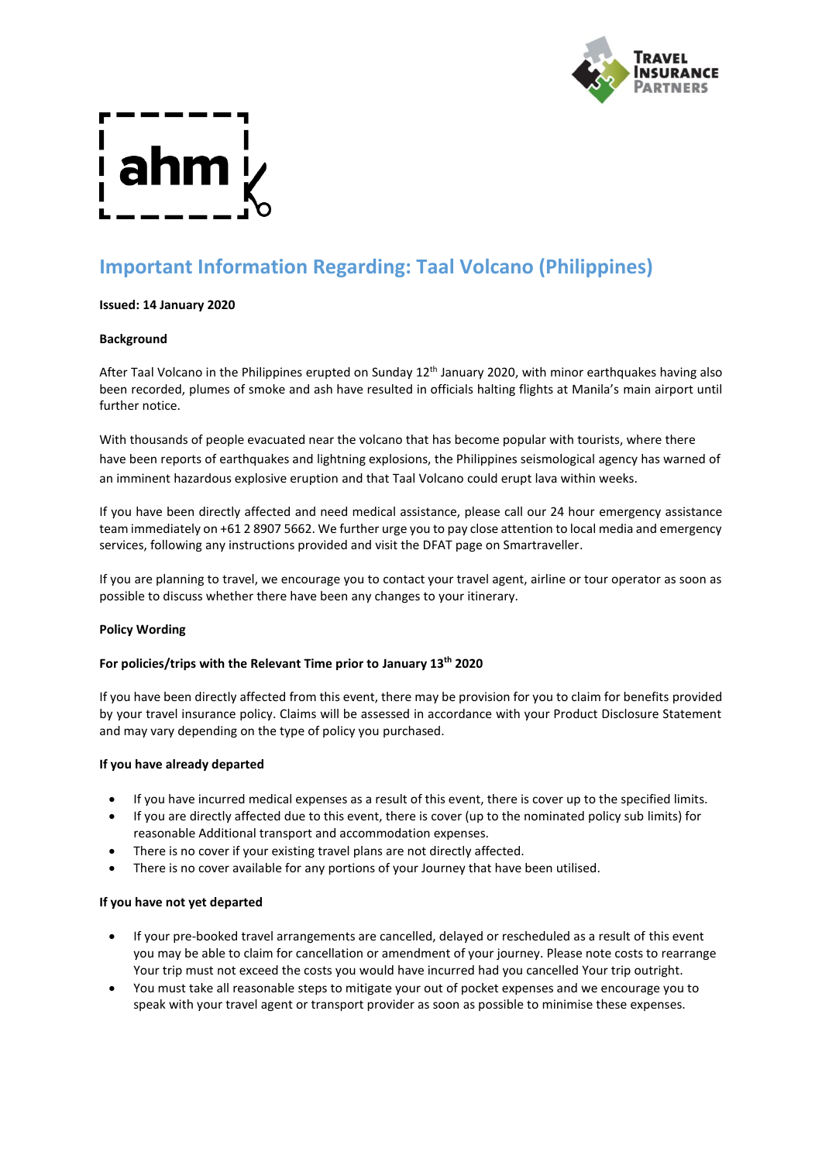

# **Important Information Regarding: Taal Volcano (Philippines)**

# **Issued: 14 January 2020**

# **Background**

After Taal Volcano in the Philippines erupted on Sunday 12<sup>th</sup> January 2020, with minor earthquakes having also been recorded, plumes of smoke and ash have resulted in officials halting flights at Manila's main airport until further notice.

With thousands of people evacuated near the volcano that has become popular with tourists, where there have been reports of earthquakes and lightning explosions, the Philippines seismological agency has warned of an imminent hazardous explosive eruption and that Taal Volcano could erupt lava within weeks.

If you have been directly affected and need medical assistance, please call our 24 hour emergency assistance team immediately on +61 2 8907 5662. We further urge you to pay close attention to local media and emergency services, following any instructions provided and visit the DFAT page on Smartraveller.

If you are planning to travel, we encourage you to contact your travel agent, airline or tour operator as soon as possible to discuss whether there have been any changes to your itinerary.

# **Policy Wording**

# **For policies/trips with the Relevant Time prior to January 13th 2020**

If you have been directly affected from this event, there may be provision for you to claim for benefits provided by your travel insurance policy. Claims will be assessed in accordance with your Product Disclosure Statement and may vary depending on the type of policy you purchased.

# **If you have already departed**

- If you have incurred medical expenses as a result of this event, there is cover up to the specified limits.
- If you are directly affected due to this event, there is cover (up to the nominated policy sub limits) for reasonable Additional transport and accommodation expenses.
- There is no cover if your existing travel plans are not directly affected.
- There is no cover available for any portions of your Journey that have been utilised.

# **If you have not yet departed**

- If your pre-booked travel arrangements are cancelled, delayed or rescheduled as a result of this event you may be able to claim for cancellation or amendment of your journey. Please note costs to rearrange Your trip must not exceed the costs you would have incurred had you cancelled Your trip outright.
- You must take all reasonable steps to mitigate your out of pocket expenses and we encourage you to speak with your travel agent or transport provider as soon as possible to minimise these expenses.